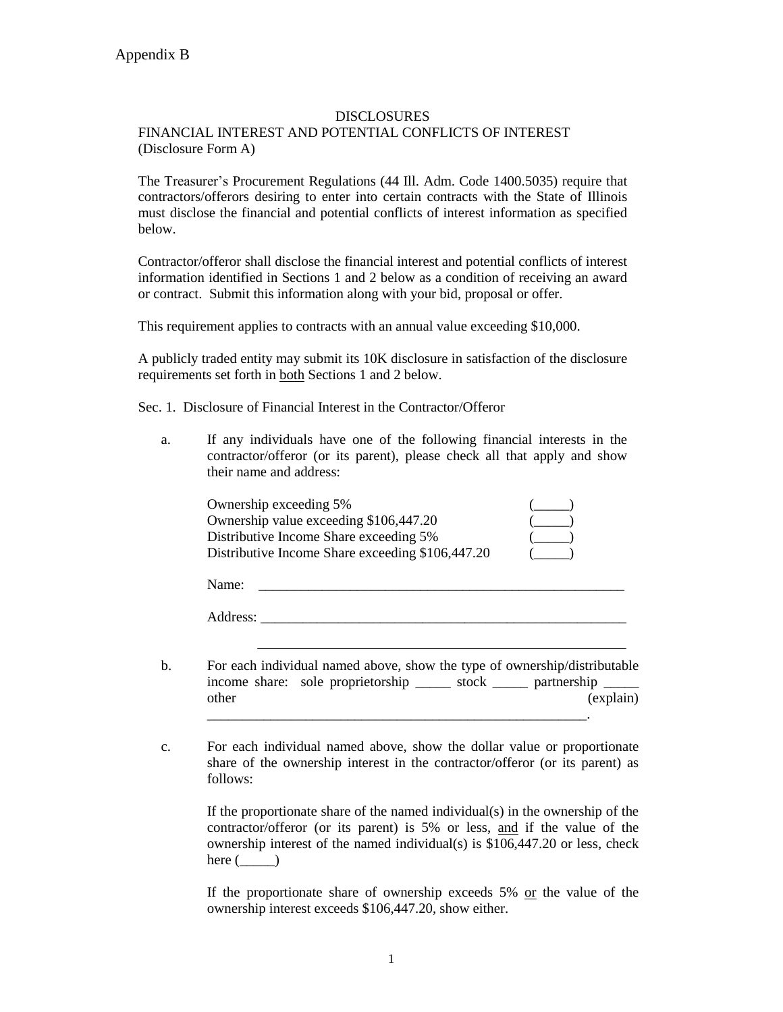## DISCLOSURES

## FINANCIAL INTEREST AND POTENTIAL CONFLICTS OF INTEREST (Disclosure Form A)

The Treasurer's Procurement Regulations (44 Ill. Adm. Code 1400.5035) require that contractors/offerors desiring to enter into certain contracts with the State of Illinois must disclose the financial and potential conflicts of interest information as specified below.

Contractor/offeror shall disclose the financial interest and potential conflicts of interest information identified in Sections 1 and 2 below as a condition of receiving an award or contract. Submit this information along with your bid, proposal or offer.

This requirement applies to contracts with an annual value exceeding \$10,000.

A publicly traded entity may submit its 10K disclosure in satisfaction of the disclosure requirements set forth in both Sections 1 and 2 below.

Sec. 1. Disclosure of Financial Interest in the Contractor/Offeror

a. If any individuals have one of the following financial interests in the contractor/offeror (or its parent), please check all that apply and show their name and address:

| Ownership exceeding 5%                           |  |
|--------------------------------------------------|--|
| Ownership value exceeding \$106,447.20           |  |
| Distributive Income Share exceeding 5%           |  |
| Distributive Income Share exceeding \$106,447.20 |  |

| Name:    |  |  |  |
|----------|--|--|--|
|          |  |  |  |
| Address: |  |  |  |

- b. For each individual named above, show the type of ownership/distributable income share: sole proprietorship \_\_\_\_\_\_ stock \_\_\_\_\_ partnership \_\_\_\_\_\_ other (explain) \_\_\_\_\_\_\_\_\_\_\_\_\_\_\_\_\_\_\_\_\_\_\_\_\_\_\_\_\_\_\_\_\_\_\_\_\_\_\_\_\_\_\_\_\_\_\_\_\_\_\_\_\_\_.
- c. For each individual named above, show the dollar value or proportionate share of the ownership interest in the contractor/offeror (or its parent) as follows:

If the proportionate share of the named individual(s) in the ownership of the contractor/offeror (or its parent) is 5% or less, and if the value of the ownership interest of the named individual(s) is \$106,447.20 or less, check here  $($ 

If the proportionate share of ownership exceeds  $5\%$  or the value of the ownership interest exceeds \$106,447.20, show either.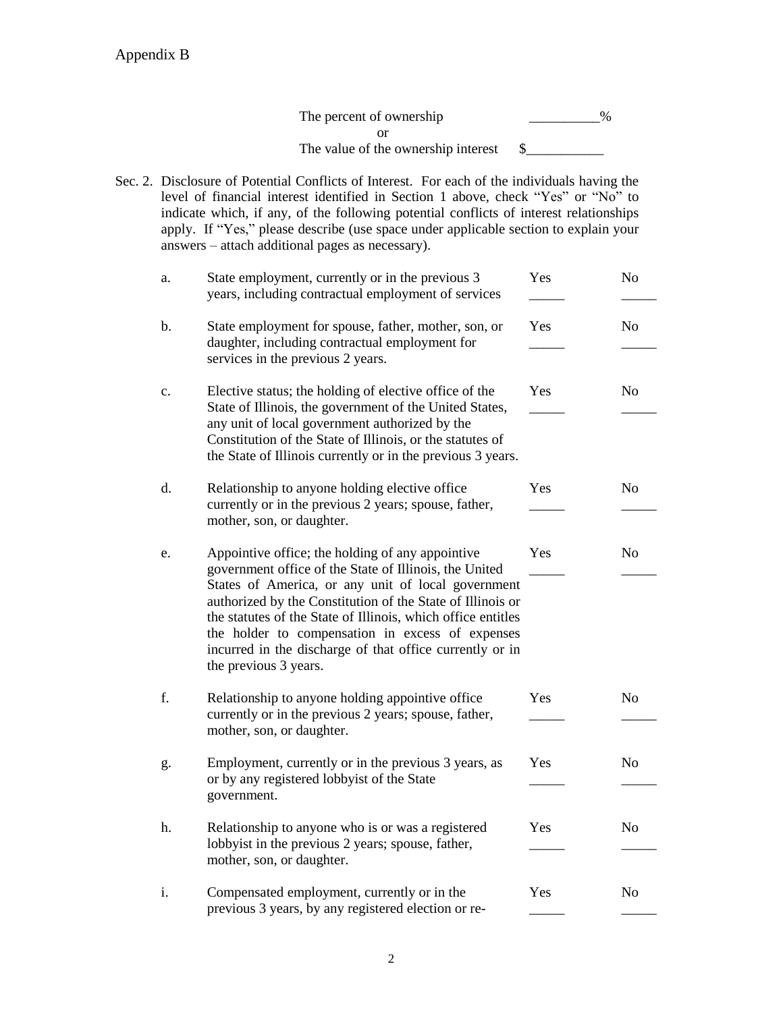The percent of ownership \_\_\_\_\_\_\_\_\_\_\_\_\_% or The value of the ownership interest  $\quad \quad \text{\$}$ 

Sec. 2. Disclosure of Potential Conflicts of Interest. For each of the individuals having the level of financial interest identified in Section 1 above, check "Yes" or "No" to indicate which, if any, of the following potential conflicts of interest relationships apply. If "Yes," please describe (use space under applicable section to explain your answers – attach additional pages as necessary).

| a. | State employment, currently or in the previous 3<br>years, including contractual employment of services                                                                                                                                                                                                                                                                                                                                 | Yes | N <sub>o</sub> |
|----|-----------------------------------------------------------------------------------------------------------------------------------------------------------------------------------------------------------------------------------------------------------------------------------------------------------------------------------------------------------------------------------------------------------------------------------------|-----|----------------|
| b. | State employment for spouse, father, mother, son, or<br>daughter, including contractual employment for<br>services in the previous 2 years.                                                                                                                                                                                                                                                                                             | Yes | N <sub>o</sub> |
| c. | Elective status; the holding of elective office of the<br>State of Illinois, the government of the United States,<br>any unit of local government authorized by the<br>Constitution of the State of Illinois, or the statutes of<br>the State of Illinois currently or in the previous 3 years.                                                                                                                                         | Yes | N <sub>o</sub> |
| d. | Relationship to anyone holding elective office<br>currently or in the previous 2 years; spouse, father,<br>mother, son, or daughter.                                                                                                                                                                                                                                                                                                    | Yes | N <sub>o</sub> |
| e. | Appointive office; the holding of any appointive<br>government office of the State of Illinois, the United<br>States of America, or any unit of local government<br>authorized by the Constitution of the State of Illinois or<br>the statutes of the State of Illinois, which office entitles<br>the holder to compensation in excess of expenses<br>incurred in the discharge of that office currently or in<br>the previous 3 years. | Yes | N <sub>o</sub> |
| f. | Relationship to anyone holding appointive office<br>currently or in the previous 2 years; spouse, father,<br>mother, son, or daughter.                                                                                                                                                                                                                                                                                                  | Yes | N <sub>o</sub> |
| g. | Employment, currently or in the previous 3 years, as<br>or by any registered lobbyist of the State<br>government.                                                                                                                                                                                                                                                                                                                       | Yes | N <sub>o</sub> |
| h. | Relationship to anyone who is or was a registered<br>lobbyist in the previous 2 years; spouse, father,<br>mother, son, or daughter.                                                                                                                                                                                                                                                                                                     | Yes | N <sub>o</sub> |
| i. | Compensated employment, currently or in the<br>previous 3 years, by any registered election or re-                                                                                                                                                                                                                                                                                                                                      | Yes | N <sub>o</sub> |